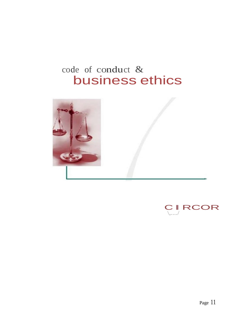## code of conduct & business ethics



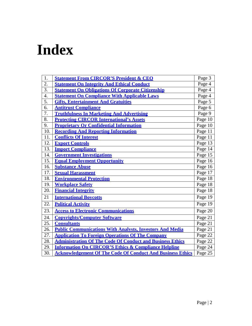# **Index**

| 1.               | <b>Statement From CIRCOR'S President &amp; CEO</b>                | Page 3  |
|------------------|-------------------------------------------------------------------|---------|
| 2.               | <b>Statement On Integrity And Ethical Conduct</b>                 | Page 4  |
| $\overline{3}$ . | <b>Statement On Obligations Of Corporate Citizenship</b>          | Page 4  |
| $\overline{4}$ . | <b>Statement On Compliance With Applicable Laws</b>               | Page 4  |
| 5.               | <b>Gifts, Entertainment And Gratuities</b>                        | Page 5  |
| 6.               | <b>Antitrust Compliance</b>                                       | Page 6  |
| 7.               | <b>Truthfulness In Marketing And Advertising</b>                  | Page 9  |
| 8.               | <b>Protecting CIRCOR International's Assets</b>                   | Page 10 |
| 9.               | <b>Proprietary Or Confidential Information</b>                    | Page 10 |
| 10.              | <b>Recording And Reporting Information</b>                        | Page 11 |
| 11.              | <b>Conflicts Of Interest</b>                                      | Page 11 |
| 12.              | <b>Export Controls</b>                                            | Page 13 |
| 13.              | <b>Import Compliance</b>                                          | Page 14 |
| 14.              | <b>Government Investigations</b>                                  | Page 15 |
| 15.              | <b>Equal Employment Opportunity</b>                               | Page 16 |
| 16.              | <b>Substance Abuse</b>                                            | Page 16 |
| 17.              | <b>Sexual Harassment</b>                                          | Page 17 |
| 18.              | <b>Environmental Protection</b>                                   | Page 18 |
| 19.              | <b>Workplace Safety</b>                                           | Page 18 |
| 20.              | <b>Financial Integrity</b>                                        | Page 18 |
| 21               | <b>International Boycotts</b>                                     | Page 19 |
| 22.              | <b>Political Activity</b>                                         | Page 19 |
| 23.              | <b>Access to Electronic Communications</b>                        | Page 20 |
| 24.              | <b>Copyrights/Computer Software</b>                               | Page 21 |
| 25.              | <b>Consultants</b>                                                | Page 21 |
| 26.              | <b>Public Communications With Analysts, Investors And Media</b>   | Page 21 |
| 27.              | <b>Application To Foreign Operations Of The Company</b>           | Page 22 |
| 28.              | <b>Administration Of The Code Of Conduct and Business Ethics</b>  | Page 22 |
| 29.              | <b>Information On CIRCOR'S Ethics &amp; Compliance Helpline</b>   | Page 24 |
| 30.              | <b>Acknowledgement Of The Code Of Conduct And Business Ethics</b> | Page 25 |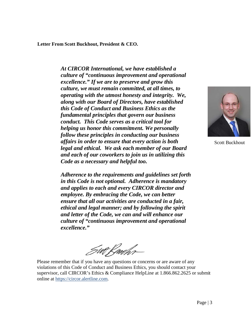<span id="page-2-0"></span>**Letter From Scott Buckhout, President & CEO.**

*At CIRCOR International, we have established a culture of "continuous improvement and operational excellence." If we are to preserve and grow this culture, we must remain committed, at all times, to operating with the utmost honesty and integrity. We, along with our Board of Directors, have established this Code of Conduct and Business Ethics as the fundamental principles that govern our business conduct. This Code serves as a critical tool for helping us honor this commitment. We personally follow these principles in conducting our business affairs in order to ensure that every action is both legal and ethical. We ask each member of our Board and each of our coworkers to join us in utilizing this Code as a necessary and helpful too.*

*Adherence to the requirements and guidelines set forth in this Code is not optional. Adherence is mandatory and applies to each and every CIRCOR director and employee. By embracing the Code, we can better ensure that all our activities are conducted in a fair, ethical and legal manner; and by following the spirit and letter of the Code, we can and will enhance our culture of "continuous improvement and operational excellence."*

Swt R*udhr*-

Please remember that if you have any questions or concerns or are aware of any violations of this Code of Conduct and Business Ethics, you should contact your supervisor, call CIRCOR's Ethics & Compliance HelpLine at 1.866.862.2625 or submit online at https://circor.alertline.com.



Scott Buckhout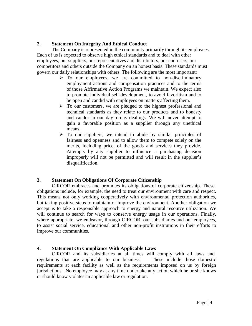#### <span id="page-3-0"></span>**2. Statement On Integrity And Ethical Conduct**

The Company is represented in the community primarily through its employees. Each of us is expected to observe high ethical standards and to deal with other employees, our suppliers, our representatives and distributors, our end-users, our competitors and others outside the Company on an honest basis. These standards must govern our daily relationships with others. The following are the most important:

- $\triangleright$  To our employees, we are committed to non-discriminatory employment actions and compensation practices and to the terms of those Affirmative Action Programs we maintain. We expect also to promote individual self-development, to avoid favoritism and to be open and candid with employees on matters affecting them.
- $\triangleright$  To our customers, we are pledged to the highest professional and technical standards as they relate to our products and to honesty and candor in our day-to-day dealings. We will never attempt to gain a favorable position as a supplier through any unethical means.
- $\triangleright$  To our suppliers, we intend to abide by similar principles of fairness and openness and to allow them to compete solely on the merits, including price, of the goods and services they provide. Attempts by any supplier to influence a purchasing decision improperly will not be permitted and will result in the supplier's disqualification.

#### **3. Statement On Obligations Of Corporate Citizenship**

CIRCOR embraces and promotes its obligations of corporate citizenship. These obligations include, for example, the need to treat our environment with care and respect. This means not only working cooperatively with environmental protection authorities, but taking positive steps to maintain or improve the environment. Another obligation we accept is to take a responsible approach to energy and natural resource utilization. We will continue to search for ways to conserve energy usage in our operations. Finally, where appropriate, we endeavor, through CIRCOR, our subsidiaries and our employees, to assist social service, educational and other non-profit institutions in their efforts to improve our communities.

#### **4. Statement On Compliance With Applicable Laws**

CIRCOR and its subsidiaries at all times will comply with all laws and regulations that are applicable to our business. These include those domestic requirements at each facility as well as the requirements imposed on us by foreign jurisdictions. No employee may at any time undertake any action which he or she knows or should know violates an applicable law or regulation.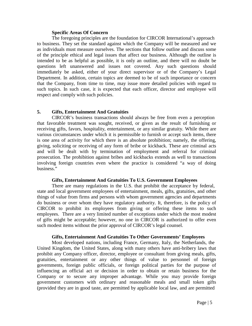#### **Specific Areas Of Concern**

<span id="page-4-0"></span>The foregoing principles are the foundation for CIRCOR International's approach to business. They set the standard against which the Company will be measured and we as individuals must measure ourselves. The sections that follow outline and discuss some of the principle ethical and legal issues that affect our business. Although the outline is intended to be as helpful as possible, it is only an outline, and there will no doubt be questions left unanswered and issues not covered. Any such questions should immediately be asked, either of your direct supervisor or of the Company's Legal Department. In addition, certain topics are deemed to be of such importance or concern that the Company, from time to time, may issue more detailed policies with regard to such topics. In such case, it is expected that each officer, director and employee will respect and comply with such policies.

#### **5. Gifts, Entertainment And Gratuities**

CIRCOR's business transactions should always be free from even a perception that favorable treatment was sought, received, or given as the result of furnishing or receiving gifts, favors, hospitality, entertainment, or any similar gratuity. While there are various circumstances under which it is permissible to furnish or accept such items, there is one area of activity for which there is an absolute prohibition; namely, the offering, giving, soliciting or receiving of any form of bribe or kickback. These are criminal acts and will be dealt with by termination of employment and referral for criminal prosecution. The prohibition against bribes and kickbacks extends as well to transactions involving foreign countries even where the practice is considered "a way of doing business."

#### **Gifts, Entertainment And Gratuities To U.S. Government Employees**

There are many regulations in the U.S. that prohibit the acceptance by federal, state and local government employees of entertainment, meals, gifts, gratuities, and other things of value from firms and persons with whom government agencies and departments do business or over whom they have regulatory authority. It, therefore, is the policy of CIRCOR to prohibit its employees from giving or offering these items to such employees. There are a very limited number of exceptions under which the most modest of gifts might be acceptable; however, no one in CIRCOR is authorized to offer even such modest items without the prior approval of CIRCOR's legal counsel.

#### **Gifts, Entertainment And Gratuities To Other Governments' Employees**

Most developed nations, including France, Germany, Italy, the Netherlands, the United Kingdom, the United States, along with many others have anti-bribery laws that prohibit any Company officer, director, employee or consultant from giving meals, gifts, gratuities, entertainment or any other things of value to personnel of foreign governments, foreign public officials, or foreign political parties for the purpose of influencing an official act or decision in order to obtain or retain business for the Company or to secure any improper advantage. While you may provide foreign government customers with ordinary and reasonable meals and small token gifts (provided they are in good taste, are permitted by applicable local law, and are permitted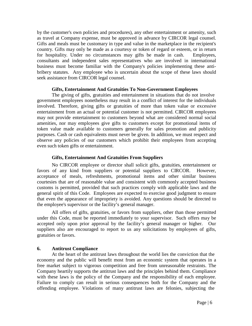<span id="page-5-0"></span>by the customer's own policies and procedures), any other entertainment or amenity, such as travel at Company expense, must be approved in advance by CIRCOR legal counsel. Gifts and meals must be customary in type and value in the marketplace in the recipient's country. Gifts may only be made as a courtesy or token of regard or esteem, or in return for hospitality. Under no circumstances may gifts be made in cash. Employees, consultants and independent sales representatives who are involved in international business must become familiar with the Company's policies implementing these antibribery statutes. Any employee who is uncertain about the scope of these laws should seek assistance from CIRCOR legal counsel.

#### **Gifts, Entertainment And Gratuities To Non-Government Employees**

The giving of gifts, gratuities and entertainment in situations that do not involve government employees nonetheless may result in a conflict of interest for the individuals involved. Therefore, giving gifts or gratuities of more than token value or excessive entertainment from an actual or potential customer is not permitted. CIRCOR employees may not provide entertainment to customers beyond what are considered normal social amenities, nor may employees give gifts to customers except for promotional items of token value made available to customers generally for sales promotion and publicity purposes. Cash or cash equivalents must never be given. In addition, we must respect and observe any policies of our customers which prohibit their employees from accepting even such token gifts or entertainment.

#### **Gifts, Entertainment And Gratuities From Suppliers**

No CIRCOR employee or director shall solicit gifts, gratuities, entertainment or favors of any kind from suppliers or potential suppliers to CIRCOR. However, acceptance of meals, refreshments, promotional items and other similar business courtesies that are of reasonable value and consistent with commonly accepted business customs is permitted, provided that such practices comply with applicable laws and the general spirit of this Code. Employees are expected to exercise good judgment to ensure that even the appearance of impropriety is avoided. Any questions should be directed to the employee's supervisor or the facility's general manager.

All offers of gifts, gratuities, or favors from suppliers, other than those permitted under this Code, must be reported immediately to your supervisor. Such offers may be accepted only upon prior approval by the facility's general manager or higher. Our suppliers also are encouraged to report to us any solicitations by employees of gifts, gratuities or favors.

#### **6. Antitrust Compliance**

At the heart of the antitrust laws throughout the world lies the conviction that the economy and the public will benefit most from an economic system that operates in a free market subject to vigorous competition and free from unreasonable restraints. The Company heartily supports the antitrust laws and the principles behind them. Compliance with these laws is the policy of the Company and the responsibility of each employee. Failure to comply can result in serious consequences both for the Company and the offending employee. Violations of many antitrust laws are felonies, subjecting the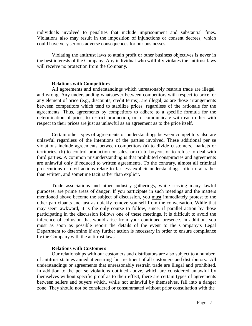individuals involved to penalties that include imprisonment and substantial fines. Violations also may result in the imposition of injunctions or consent decrees, which could have very serious adverse consequences for our businesses.

Violating the antitrust laws to attain profit or other business objectives is never in the best interests of the Company. Any individual who willfully violates the antitrust laws will receive no protection from the Company.

#### **Relations with Competitors**

All agreements and understandings which unreasonably restrain trade are illegal and wrong. Any understanding whatsoever between competitors with respect to price, or any element of price (e.g., discounts, credit terms), are illegal, as are those arrangements between competitors which tend to stabilize prices, regardless of the rationale for the agreements. Thus, agreements by competitors to adhere to a specific formula for the determination of price, to restrict production, or to communicate with each other with respect to their prices are just as unlawful as an agreement as to the price itself.

Certain other types of agreements or understandings between competitors also are unlawful regardless of the intentions of the parties involved. These additional per se violations include agreements between competitors (a) to divide customers, markets or territories, (b) to control production or sales, or (c) to boycott or to refuse to deal with third parties. A common misunderstanding is that prohibited conspiracies and agreements are unlawful only if reduced to written agreements. To the contrary, almost all criminal prosecutions or civil actions relate to far less explicit understandings, often oral rather than written, and sometime tacit rather than explicit.

Trade associations and other industry gatherings, while serving many lawful purposes, are prime areas of danger. If you participate in such meetings and the matters mentioned above become the subject of discussion, you must immediately protest to the other participants and just as quickly remove yourself from the conversation. While that may seem awkward, it is the only course to follow, since, if parallel action by those participating in the discussion follows one of these meetings, it is difficult to avoid the inference of collusion that would arise from your continued presence. In addition, you must as soon as possible report the details of the event to the Company's Legal Department to determine if any further action is necessary in order to ensure compliance by the Company with the antitrust laws.

#### **Relations with Customers**

Our relationships with our customers and distributors are also subject to a number of antitrust statutes aimed at ensuring fair treatment of all customers and distributors. All understandings or agreements that unreasonably restrain trade are illegal and prohibited. In addition to the per se violations outlined above, which are considered unlawful by themselves without specific proof as to their effect, there are certain types of agreements between sellers and buyers which, while not unlawful by themselves, fall into a danger zone. They should not be considered or consummated without prior consultation with the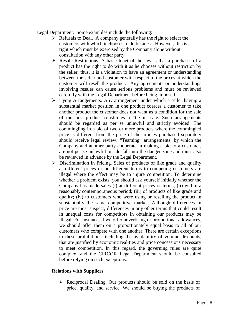Legal Department. Some examples include the following:

- $\triangleright$  Refusals to Deal. A company generally has the right to select the customers with which it chooses to do business. However, this is a right which must be exercised by the Company alone without consultation with any other party.
- $\triangleright$  Resale Restrictions. A basic tenet of the law is that a purchaser of a product has the right to do with it as he chooses without restriction by the seller; thus, it is a violation to have an agreement or understanding between the seller and customer with respect to the prices at which the customer will resell the product. Any agreements or understandings involving resales can cause serious problems and must be reviewed carefully with the Legal Department before being imposed.
- Tying Arrangements. Any arrangement under which a seller having a substantial market position in one product coerces a customer to take another product the customer does not want as a condition for the sale of the first product constitutes a "tie-in" sale. Such arrangements should be regarded as per se unlawful and strictly avoided. The commingling in a bid of two or more products where the commingled price is different from the price of the articles purchased separately should receive legal review. "Teaming" arrangements, by which the Company and another party cooperate in making a bid to a customer, are not per se unlawful but do fall into the danger zone and must also be reviewed in advance by the Legal Department.
- $\triangleright$  Discrimination in Pricing. Sales of products of like grade and quality at different prices or on different terms to competing customers are illegal where the effect may be to injure competition. To determine whether a problem exists, you should ask yourself initially whether the Company has made sales (i) at different prices or terms; (ii) within a reasonably contemporaneous period; (iii) of products of like grade and quality; (iv) to customers who were using or reselling the product in substantially the same competitive market. Although differences in price are most suspect, differences in any other terms that could result in unequal costs for competitors in obtaining our products may be illegal. For instance, if we offer advertising or promotional allowances, we should offer them on a proportionately equal basis to all of our customers who compete with one another. There are certain exceptions to these prohibitions, including the availability of volume discounts, that are justified by economic realities and price concessions necessary to meet competition. In this regard, the governing rules are quite complex, and the CIRCOR Legal Department should be consulted before relying on such exceptions.

#### **Relations with Suppliers**

 $\triangleright$  Reciprocal Dealing. Our products should be sold on the basis of price, quality, and service. We should be buying the products of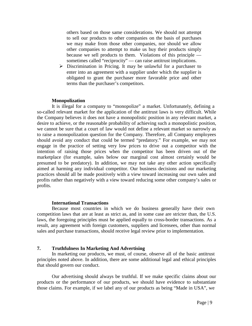<span id="page-8-0"></span>others based on those same considerations. We should not attempt to sell our products to other companies on the basis of purchases we may make from those other companies, nor should we allow other companies to attempt to make us buy their products simply because we sell products to them. Violations of this principle sometimes called "reciprocity" — can raise antitrust implications.

 $\triangleright$  Discrimination in Pricing. It may be unlawful for a purchaser to enter into an agreement with a supplier under which the supplier is obligated to grant the purchaser more favorable price and other terms than the purchaser's competitors.

#### **Monopolization**

It is illegal for a company to "monopolize" a market. Unfortunately, defining a so-called relevant market for the application of the antitrust laws is very difficult. While the Company believes it does not have a monopolistic position in any relevant market, a desire to achieve, or the reasonable probability of achieving such a monopolistic position, we cannot be sure that a court of law would not define a relevant market so narrowly as to raise a monopolization question for the Company. Therefore, all Company employees should avoid any conduct that could be termed "predatory." For example, we may not engage in the practice of setting very low prices to drive out a competitor with the intention of raising those prices when the competitor has been driven out of the marketplace (for example, sales below our marginal cost almost certainly would be presumed to be predatory). In addition, we may not take any other action specifically aimed at harming any individual competitor. Our business decisions and our marketing practices should all be made positively with a view toward increasing our own sales and profits rather than negatively with a view toward reducing some other company's sales or profits.

#### **International Transactions**

Because most countries in which we do business generally have their own competition laws that are at least as strict as, and in some case are stricter than, the U.S. laws, the foregoing principles must be applied equally to cross-border transactions. As a result, any agreement with foreign customers, suppliers and licensees, other than normal sales and purchase transactions, should receive legal review prior to implementation.

#### **7. Truthfulness In Marketing And Advertising**

In marketing our products, we must, of course, observe all of the basic antitrust principles noted above. In addition, there are some additional legal and ethical principles that should govern our conduct.

Our advertising should always be truthful. If we make specific claims about our products or the performance of our products, we should have evidence to substantiate those claims. For example, if we label any of our products as being "Made in USA", we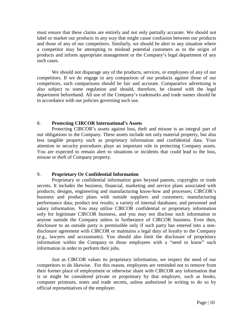<span id="page-9-0"></span>must ensure that these claims are entirely and not only partially accurate. We should not label or market our products in any way that might cause confusion between our products and those of any of our competitors. Similarly, we should be alert to any situation where a competitor may be attempting to mislead potential customers as to the origin of products and inform appropriate management or the Company's legal department of any such cases.

We should not disparage any of the products, services, or employees of any of our competitors. If we do engage in any comparison of our products against those of our competitors, such comparisons should be fair and accurate. Comparative advertising is also subject to some regulation and should, therefore, be cleared with the legal department beforehand. All use of the Company's trademarks and trade names should be in accordance with our policies governing such use.

#### 8. **Protecting CIRCOR International's Assets**

Protecting CIRCOR's assets against loss, theft and misuse is an integral part of our obligations to the Company. These assets include not only material property, but also less tangible property such as proprietary information and confidential data. Your attention to security procedures plays an important role in protecting Company assets. You are expected to remain alert to situations or incidents that could lead to the loss, misuse or theft of Company property.

#### 9. **Proprietary Or Confidential Information**

Proprietary or confidential information goes beyond patents, copyrights or trade secrets. It includes the business, financial, marketing and service plans associated with products; designs, engineering and manufacturing know-how and processes; CIRCOR's business and product plans with outside suppliers and customers; manufacturing performance data; product test results; a variety of internal databases; and personnel and salary information. You may utilize CIRCOR confidential or proprietary information only for legitimate CIRCOR business, and you may not disclose such information to anyone outside the Company unless in furtherance of CIRCOR business. Even then, disclosure to an outside party is permissible only if such party has entered into a nondisclosure agreement with CIRCOR or maintains a legal duty of loyalty to the Company (e.g., lawyers and accountants). You should also limit the disclosure of proprietary information within the Company to those employees with a "need to know" such information in order to perform their jobs.

Just as CIRCOR values its proprietary information, we respect the need of our competitors to do likewise. For this reason, employees are reminded not to remove from their former place of employment or otherwise share with CIRCOR any information that is or might be considered private or proprietary by that employer, such as books, computer printouts, notes and trade secrets, unless authorized in writing to do so by official representatives of the employer.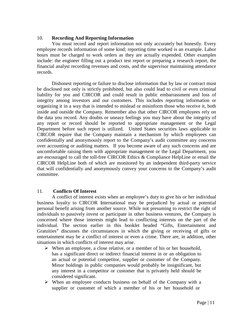#### <span id="page-10-0"></span>10. **Recording And Reporting Information**

You must record and report information not only accurately but honestly. Every employee records information of some kind; reporting time worked is an example. Labor hours must be charged to work orders as they are actually expended. Other examples include: the engineer filling out a product test report or preparing a research report, the financial analyst recording revenues and costs, and the supervisor maintaining attendance records.

Dishonest reporting or failure to disclose information that by law or contract must be disclosed not only is strictly prohibited, but also could lead to civil or even criminal liability for you and CIRCOR and could result in public embarrassment and loss of integrity among investors and our customers. This includes reporting information or organizing it in a way that is intended to mislead or misinform those who receive it, both inside and outside the Company. Remember also that other CIRCOR employees rely on the data you record. Any doubts or uneasy feelings you may have about the integrity of any report or record should be reported to appropriate management or the Legal Department before such report is utilized. United States securities laws applicable to CIRCOR require that the Company maintain a mechanism by which employees can confidentially and anonymously report to the Company's audit committee any concerns over accounting or auditing matters. If you become aware of any such concerns and are uncomfortable raising them with appropriate management or the Legal Department, you are encouraged to call the toll-free CIRCOR Ethics & Compliance HelpLine or email the CIRCOR HelpLine both of which are monitored by an independent third-party service that will confidentially and anonymously convey your concerns to the Company's audit committee.

#### 11. **Conflicts Of Interest**

A conflict of interest exists when an employee's duty to give his or her individual business loyalty to CIRCOR International may be prejudiced by actual or potential personal benefit arising from another source. While not presuming to restrict the right of individuals to passively invest or participate in other business ventures, the Company is concerned where those interests might lead to conflicting interests on the part of the individual. The section earlier in this booklet headed "Gifts, Entertainment and Gratuities" discusses the circumstances in which the giving or receiving of gifts or entertainment may be a conflict of interest or even a crime. There are, in addition, other situations in which conflicts of interest may arise.

- $\triangleright$  When an employee, a close relative, or a member of his or her household, has a significant direct or indirect financial interest in or an obligation to an actual or potential competitor, supplier or customer of the Company. Minor holdings in public companies would probably be insignificant, but any interest in a competitor or customer that is privately held should be considered significant.
- $\triangleright$  When an employee conducts business on behalf of the Company with a supplier or customer of which a member of his or her household or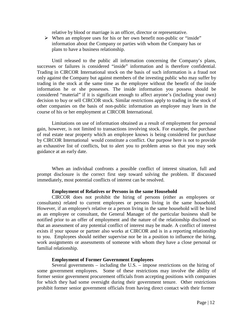relative by blood or marriage is an officer, director or representative.

 $\triangleright$  When an employee uses for his or her own benefit non-public or "inside" information about the Company or parties with whom the Company has or plans to have a business relationship.

Until released to the public all information concerning the Company's plans, successes or failures is considered "inside" information and is therefore confidential. Trading in CIRCOR International stock on the basis of such information is a fraud not only against the Company but against members of the investing public who may suffer by trading in the stock at the same time as the employee without the benefit of the inside information he or she possesses. The inside information you possess should be considered "material" if it is significant enough to affect anyone's (including your own) decision to buy or sell CIRCOR stock. Similar restrictions apply to trading in the stock of other companies on the basis of non-public information an employee may learn in the course of his or her employment at CIRCOR International.

Limitations on use of information obtained as a result of employment for personal gain, however, is not limited to transactions involving stock. For example, the purchase of real estate near property which an employee knows is being considered for purchase by CIRCOR International would constitute a conflict. Our purpose here is not to provide an exhaustive list of conflicts, but to alert you to problem areas so that you may seek guidance at an early date.

When an individual confronts a possible conflict of interest situation, full and prompt disclosure is the correct first step toward solving the problem. If discussed immediately, most potential conflicts of interest can be resolved.

#### **Employment of Relatives or Persons in the same Household**

CIRCOR does not prohibit the hiring of persons (either as employees or consultants) related to current employees or persons living in the same household. However, if an employee's relative or a person living in the same household will be hired as an employee or consultant, the General Manager of the particular business shall be notified prior to an offer of employment and the nature of the relationship disclosed so that an assessment of any potential conflict of interest may be made. A conflict of interest exists if your spouse or partner also works at CIRCOR and is in a reporting relationship to you. Employees should neither supervise nor be in a position to influence the hiring, work assignments or assessments of someone with whom they have a close personal or familial relationship.

#### **Employment of Former Government Employees**

Several governments – including the U.S. – impose restrictions on the hiring of some government employees. Some of these restrictions may involve the ability of former senior government procurement officials from accepting positions with companies for which they had some oversight during their government tenure. Other restrictions prohibit former senior government officials from having direct contact with their former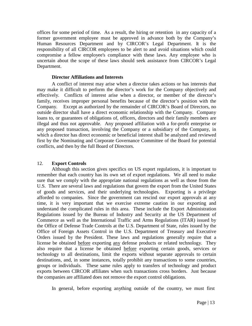<span id="page-12-0"></span>offices for some period of time. As a result, the hiring or retention in any capacity of a former government employee must be approved in advance both by the Company's Human Resources Department and by CIRCOR's Legal Department. It is the responsibility of all CIRCOR employees to be alert to and avoid situations which could compromise a fellow employee's compliance with these laws. Any employee who is uncertain about the scope of these laws should seek assistance from CIRCOR's Legal Department.

#### **Director Affiliations and Interests**

A conflict of interest may arise when a director takes actions or has interests that may make it difficult to perform the director's work for the Company objectively and effectively. Conflicts of interest arise when a director, or member of the director's family, receives improper personal benefits because of the director's position with the Company. Except as authorized by the remainder of CIRCOR's Board of Directors, no outside director shall have a direct economic relationship with the Company. Company loans to, or guarantees of obligations of, officers, directors and their family members are illegal and thus not approvable. Any proposed affiliation with a for-profit enterprise or any proposed transaction, involving the Company or a subsidiary of the Company, in which a director has direct economic or beneficial interest shall be analyzed and reviewed first by the Nominating and Corporate Governance Committee of the Board for potential conflicts, and then by the full Board of Directors.

#### 12. **Export Controls**

Although this section gives specifics on US export regulations, it is important to remember that each country has its own set of export regulations. We all need to make sure that we comply with the appropriate national regulations as well as those from the U.S. There are several laws and regulations that govern the export from the United States of goods and services, and their underlying technologies. Exporting is a privilege afforded to companies. Since the government can rescind our export approvals at any time, it is very important that we exercise extreme caution in our exporting and understand the complicated rules in this area. These include the Export Administration Regulations issued by the Bureau of Industry and Security at the US Department of Commerce as well as the International Traffic and Arms Regulations (ITAR) issued by the Office of Defense Trade Controls at the U.S. Department of State, rules issued by the Office of Foreign Assets Control in the U.S. Department of Treasury and Executive Orders issued by the President. These laws and regulations generally require that a license be obtained before exporting any defense products or related technology. They also require that a license be obtained before exporting certain goods, services or technology to all destinations, limit the exports without separate approvals to certain destinations, and, in some instances, totally prohibit any transactions to some countries, groups or individuals. These same rules apply to transfers of technology and product exports between CIRCOR affiliates when such transactions cross borders. Just because the companies are affiliated does not remove the export control obligations.

In general, before exporting anything outside of the country, we must first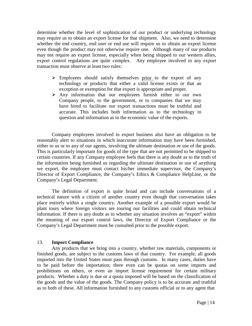<span id="page-13-0"></span>determine whether the level of sophistication of our product or underlying technology may require us to obtain an export license for that shipment. Also, we need to determine whether the end country, end user or end use will require us to obtain an export license even though the product may not otherwise require one. Although many of our products may not require an export license, especially when being shipped to our western allies, export control regulations are quite complex. Any employee involved in any export transaction must observe at least two rules:

- $\triangleright$  Employees should satisfy themselves prior to the export of any technology or products that either a valid license exists or that an exception or exemption for that export is appropriate and proper.
- $\triangleright$  Any information that our employees furnish either to our own Company people, to the government, or to companies that we may have hired to facilitate our export transactions must be truthful and accurate. This includes both information as to the technology in question and information as to the economic value of the exports.

Company employees involved in export business also have an obligation to be reasonably alert to situations in which inaccurate information may have been furnished, either to us or to any of our agents, involving the ultimate destination or use of the goods. This is particularly important for goods of the type that are not permitted to be shipped to certain countries. If any Company employee feels that there is any doubt as to the truth of the information being furnished us regarding the ultimate destination or use of anything we export, the employee must contact his/her immediate supervisor, the Company's Director of Export Compliance, the Company's Ethics & Compliance HelpLine, or the Company's Legal Department.

The definition of export is quite broad and can include conversations of a technical nature with a citizen of another country even though that conversation takes place entirely within a single country. Another example of a possible export would be plant tours where foreign visitors are touring our facilities and could obtain technical information. If there is any doubt as to whether any situation involves an "export" within the meaning of our export control laws, the Director of Export Compliance or the Company's Legal Department must be consulted prior to the possible export.

#### 13. **Import Compliance**

Any products that we bring into a country, whether raw materials, components or finished goods, are subject to the customs laws of that country. For example, all goods imported into the United States must pass through customs. In many cases, duties have to be paid before the importation; there even can be quotas on some imports and prohibitions on others, or even an import license requirement for certain military products. Whether a duty is due or a quota imposed will be based on the classification of the goods and the value of the goods. The Company policy is to be accurate and truthful as to both of these. All information furnished to any customs official or to any agent that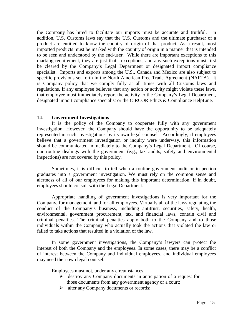<span id="page-14-0"></span>the Company has hired to facilitate our imports must be accurate and truthful. In addition, U.S. Customs laws say that the U.S. Customs and the ultimate purchaser of a product are entitled to know the country of origin of that product. As a result, most imported products must be marked with the country of origin in a manner that is intended to be seen and understood by the end-user. While there are important exceptions to this marking requirement, they are just that—exceptions, and any such exceptions must first be cleared by the Company's Legal Department or designated import compliance specialist. Imports and exports among the U.S., Canada and Mexico are also subject to specific provisions set forth in the North American Free Trade Agreement (NAFTA). It is Company policy that we comply fully at all times with all Customs laws and regulations. If any employee believes that any action or activity might violate these laws, that employee must immediately report the activity to the Company's Legal Department, designated import compliance specialist or the CIRCOR Ethics & Compliance HelpLine.

#### 14. **Government Investigations**

It is the policy of the Company to cooperate fully with any government investigation. However, the Company should have the opportunity to be adequately represented in such investigations by its own legal counsel. Accordingly, if employees believe that a government investigation or inquiry were underway, this information should be communicated immediately to the Company's Legal Department. Of course, our routine dealings with the government (e.g., tax audits, safety and environmental inspections) are not covered by this policy.

Sometimes, it is difficult to tell when a routine government audit or inspection graduates into a government investigation. We must rely on the common sense and alertness of all of our employees for making this important determination. If in doubt, employees should consult with the Legal Department.

Appropriate handling of government investigations is very important for the Company, for management, and for all employees. Virtually all of the laws regulating the conduct of the Company's business, including antitrust, securities, safety, health, environmental, government procurement, tax, and financial laws, contain civil and criminal penalties. The criminal penalties apply both to the Company and to those individuals within the Company who actually took the actions that violated the law or failed to take actions that resulted in a violation of the law.

In some government investigations, the Company's lawyers can protect the interest of both the Company and the employees. In some cases, there may be a conflict of interest between the Company and individual employees, and individual employees may need their own legal counsel.

Employees must not, under any circumstances,

- $\triangleright$  destroy any Company documents in anticipation of a request for those documents from any government agency or a court;
- Iter any Company documents or records;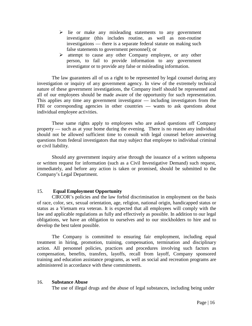- <span id="page-15-0"></span> $\triangleright$  lie or make any misleading statements to any government investigator (this includes routine, as well as non-routine investigations — there is a separate federal statute on making such false statements to government personnel); or
- $\triangleright$  attempt to cause any other Company employee, or any other person, to fail to provide information to any government investigator or to provide any false or misleading information.

The law guarantees all of us a right to be represented by legal counsel during any investigation or inquiry of any government agency. In view of the extremely technical nature of these government investigations, the Company itself should be represented and all of our employees should be made aware of the opportunity for such representation. This applies any time any government investigator — including investigators from the FBI or corresponding agencies in other countries — wants to ask questions about individual employee activities.

These same rights apply to employees who are asked questions off Company property — such as at your home during the evening. There is no reason any individual should not be allowed sufficient time to consult with legal counsel before answering questions from federal investigators that may subject that employee to individual criminal or civil liability.

Should any government inquiry arise through the issuance of a written subpoena or written request for information (such as a Civil Investigative Demand) such request, immediately, and before any action is taken or promised, should be submitted to the Company's Legal Department.

#### 15. **Equal Employment Opportunity**

CIRCOR's policies and the law forbid discrimination in employment on the basis of race, color, sex, sexual orientation, age, religion, national origin, handicapped status or status as a Vietnam era veteran. It is expected that all employees will comply with the law and applicable regulations as fully and effectively as possible. In addition to our legal obligations, we have an obligation to ourselves and to our stockholders to hire and to develop the best talent possible.

The Company is committed to ensuring fair employment, including equal treatment in hiring, promotion, training, compensation, termination and disciplinary action. All personnel policies, practices and procedures involving such factors as compensation, benefits, transfers, layoffs, recall from layoff, Company sponsored training and education assistance programs, as well as social and recreation programs are administered in accordance with these commitments.

#### 16. **Substance Abuse**

The use of illegal drugs and the abuse of legal substances, including being under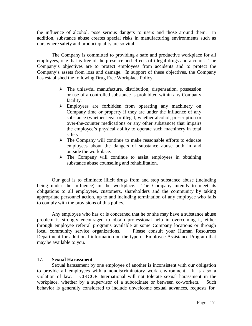<span id="page-16-0"></span>the influence of alcohol, pose serious dangers to users and those around them. In addition, substance abuse creates special risks in manufacturing environments such as ours where safety and product quality are so vital.

The Company is committed to providing a safe and productive workplace for all employees, one that is free of the presence and effects of illegal drugs and alcohol. The Company's objectives are to protect employees from accidents and to protect the Company's assets from loss and damage. In support of these objectives, the Company has established the following Drug Free Workplace Policy:

- $\triangleright$  The unlawful manufacture, distribution, dispensation, possession or use of a controlled substance is prohibited within any Company facility.
- Employees are forbidden from operating any machinery on Company time or property if they are under the influence of any substance (whether legal or illegal, whether alcohol, prescription or over-the-counter medications or any other substance) that impairs the employee's physical ability to operate such machinery in total safety.
- $\triangleright$  The Company will continue to make reasonable efforts to educate employees about the dangers of substance abuse both in and outside the workplace.
- $\triangleright$  The Company will continue to assist employees in obtaining substance abuse counseling and rehabilitation.

Our goal is to eliminate illicit drugs from and stop substance abuse (including being under the influence) in the workplace. The Company intends to meet its obligations to all employees, customers, shareholders and the community by taking appropriate personnel action, up to and including termination of any employee who fails to comply with the provisions of this policy.

Any employee who has or is concerned that he or she may have a substance abuse problem is strongly encouraged to obtain professional help in overcoming it, either through employee referral programs available at some Company locations or through local community service organizations. Please consult your Human Resources Department for additional information on the type of Employee Assistance Program that may be available to you.

#### 17. **Sexual Harassment**

Sexual harassment by one employee of another is inconsistent with our obligation to provide all employees with a nondiscriminatory work environment. It is also a violation of law. CIRCOR International will not tolerate sexual harassment in the workplace, whether by a supervisor of a subordinate or between co-workers. Such behavior is generally considered to include unwelcome sexual advances, requests for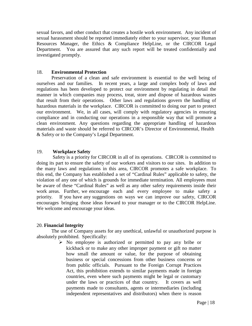<span id="page-17-0"></span>sexual favors, and other conduct that creates a hostile work environment. Any incident of sexual harassment should be reported immediately either to your supervisor, your Human Resources Manager, the Ethics & Compliance HelpLine, or the CIRCOR Legal Department. You are assured that any such report will be treated confidentially and investigated promptly.

#### 18. **Environmental Protection**

Preservation of a clean and safe environment is essential to the well being of ourselves and our families. In recent years, a large and complex body of laws and regulations has been developed to protect our environment by regulating in detail the manner in which companies may process, treat, store and dispose of hazardous wastes that result from their operations. Other laws and regulations govern the handling of hazardous materials in the workplace. CIRCOR is committed to doing our part to protect our environment. We, in all cases, will comply with regulatory agencies in ensuring compliance and in conducting our operations in a responsible way that will promote a clean environment. Any questions regarding the appropriate handling of hazardous materials and waste should be referred to CIRCOR's Director of Environmental, Health & Safety or to the Company's Legal Department.

#### 19. **Workplace Safety**

Safety is a priority for CIRCOR in all of its operations. CIRCOR is committed to doing its part to ensure the safety of our workers and visitors to our sites. In addition to the many laws and regulations in this area, CIRCOR promotes a safe workplace. To this end, the Company has established a set of "Cardinal Rules" applicable to safety, the violation of any one of which is grounds for immediate termination. All employees must be aware of these "Cardinal Rules" as well as any other safety requirements inside their work areas. Further, we encourage each and every employee to make safety a priority. If you have any suggestions on ways we can improve our safety, CIRCOR encourages bringing those ideas forward to your manager or to the CIRCOR HelpLine. We welcome and encourage your ideas.

#### 20. **Financial Integrity**

The use of Company assets for any unethical, unlawful or unauthorized purpose is absolutely prohibited. Specifically:

> $\triangleright$  No employee is authorized or permitted to pay any bribe or kickback or to make any other improper payment or gift no matter how small the amount or value, for the purpose of obtaining business or special concessions from other business concerns or from public officials. Pursuant to the Foreign Corrupt Practices Act, this prohibition extends to similar payments made in foreign countries, even where such payments might be legal or customary under the laws or practices of that country. It covers as well payments made to consultants, agents or intermediaries (including independent representatives and distributors) when there is reason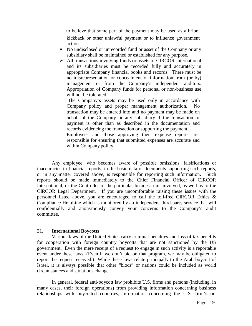<span id="page-18-0"></span>to believe that some part of the payment may be used as a bribe, kickback or other unlawful payment or to influence government action.

- $\triangleright$  No undisclosed or unrecorded fund or asset of the Company or any subsidiary shall be maintained or established for any purpose.
- All transactions involving funds or assets of CIRCOR International and its subsidiaries must be recorded fully and accurately in appropriate Company financial books and records. There must be no misrepresentation or concealment of information from (or by) management or from the Company's independent auditors. Appropriation of Company funds for personal or non-business use will not be tolerated.

The Company's assets may be used only in accordance with Company policy and proper management authorization. No transaction may be entered into and no payment may be made on behalf of the Company or any subsidiary if the transaction or payment is other than as described in the documentation and records evidencing the transaction or supporting the payment. Employees and those approving their expense reports are responsible for ensuring that submitted expenses are accurate and within Company policy.

Any employee, who becomes aware of possible omissions, falsifications or inaccuracies in financial reports, in the basic data or documents supporting such reports, or in any matter covered above, is responsible for reporting such information. Such reports should be made immediately to the Chief Financial Officer of CIRCOR International, or the Controller of the particular business unit involved, as well as to the CIRCOR Legal Department. If you are uncomfortable raising these issues with the personnel listed above, you are encouraged to call the toll-free CIRCOR Ethics & Compliance HelpLine which is monitored by an independent third-party service that will confidentially and anonymously convey your concerns to the Company's audit committee.

#### 21. **International Boycotts**

Various laws of the United States carry criminal penalties and loss of tax benefits for cooperation with foreign country boycotts that are not sanctioned by the US government. Even the mere receipt of a request to engage in such activity is a reportable event under these laws. (Even if we don't bid on that program, we may be obligated to report the request received.) While these laws relate principally to the Arab boycott of Israel, it is always possible that other "blocs" or nations could be included as world circumstances and situations change.

In general, federal anti-boycott law prohibits U.S. firms and persons (including, in many cases, their foreign operations) from providing information concerning business relationships with boycotted countries, information concerning the U.S. firm's or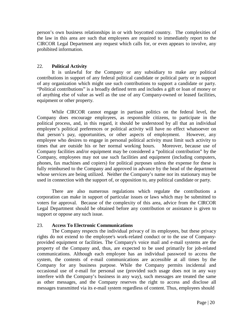<span id="page-19-0"></span>person's own business relationships in or with boycotted country. The complexities of the law in this area are such that employees are required to immediately report to the CIRCOR Legal Department any request which calls for, or even appears to involve, any prohibited information.

#### 22. **Political Activity**

It is unlawful for the Company or any subsidiary to make any political contributions in support of any federal political candidate or political party or in support of any organization which might use such contributions to support a candidate or party. "Political contributions" is a broadly defined term and includes a gift or loan of money or of anything else of value as well as the use of any Company-owned or leased facilities, equipment or other property.

While CIRCOR cannot engage in partisan politics on the federal level, the Company does encourage employees, as responsible citizens, to participate in the political process, and, in this regard, it should be understood by all that an individual employee's political preferences or political activity will have no effect whatsoever on that person's pay, opportunities, or other aspects of employment. However, any employee who desires to engage in personal political activity must limit such activity to times that are outside his or her normal working hours. Moreover, because use of Company facilities and/or equipment may be considered a "political contribution" by the Company, employees may not use such facilities and equipment (including computers, phones, fax machines and copiers) for political purposes unless the expense for these is fully reimbursed to the Company and approved in advance by the head of the department whose services are being utilized. Neither the Company's name nor its stationary may be used in connection with the support of, or opposition to, any political candidate or party.

There are also numerous regulations which regulate the contributions a corporation can make in support of particular issues or laws which may be submitted to voters for approval. Because of the complexity of this area, advice from the CIRCOR Legal Department should be obtained before any contribution or assistance is given to support or oppose any such issue.

#### 23. **Access To Electronic Communications**

The Company respects the individual privacy of its employees, but these privacy rights do not extend to the employee's work-related conduct or to the use of Companyprovided equipment or facilities. The Company's voice mail and e-mail systems are the property of the Company and, thus, are expected to be used primarily for job-related communications. Although each employee has an individual password to access the system, the contents of e-mail communications are accessible at all times by the Company for any business purpose. While the Company permits incidental and occasional use of e-mail for personal use (provided such usage does not in any way interfere with the Company's business in any way), such messages are treated the same as other messages, and the Company reserves the right to access and disclose all messages transmitted via its e-mail system regardless of content. Thus, employees should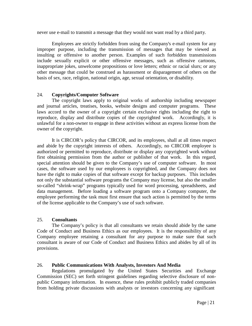<span id="page-20-0"></span>never use e-mail to transmit a message that they would not want read by a third party.

Employees are strictly forbidden from using the Company's e-mail system for any improper purpose, including the transmission of messages that may be viewed as insulting or offensive to another person. Examples of such forbidden transmissions include sexually explicit or other offensive messages, such as offensive cartoons, inappropriate jokes, unwelcome propositions or love letters; ethnic or racial slurs; or any other message that could be construed as harassment or disparagement of others on the basis of sex, race, religion, national origin, age, sexual orientation, or disability.

#### 24. **Copyrights/Computer Software**

The copyright laws apply to original works of authorship including newspaper and journal articles, treatises, books, website designs and computer programs. These laws accord to the owner of a copyright certain exclusive rights including the right to reproduce, display and distribute copies of the copyrighted work. Accordingly, it is unlawful for a non-owner to engage in these activities without an express license from the owner of the copyright.

It is CIRCOR's policy that CIRCOR, and its employees, shall at all times respect and abide by the copyright interests of others. Accordingly, no CIRCOR employee is authorized or permitted to reproduce, distribute or display any copyrighted work without first obtaining permission from the author or publisher of that work. In this regard, special attention should be given to the Company's use of computer software. In most cases, the software used by our employees is copyrighted, and the Company does not have the right to make copies of that software except for backup purposes. This includes not only the substantial software programs the Company may license, but also the smaller so-called "shrink-wrap" programs typically used for word processing, spreadsheets, and data management. Before loading a software program onto a Company computer, the employee performing the task must first ensure that such action is permitted by the terms of the license applicable to the Company's use of such software.

#### 25. **Consultants**

The Company's policy is that all consultants we retain should abide by the same Code of Conduct and Business Ethics as our employees. It is the responsibility of any Company employee retaining a consultant for any purpose to make sure that such consultant is aware of our Code of Conduct and Business Ethics and abides by all of its provisions.

#### 26. **Public Communications With Analysts, Investors And Media**

Regulations promulgated by the United States Securities and Exchange Commission (SEC) set forth stringent guidelines regarding selective disclosure of nonpublic Company information. In essence, these rules prohibit publicly traded companies from holding private discussions with analysts or investors concerning any significant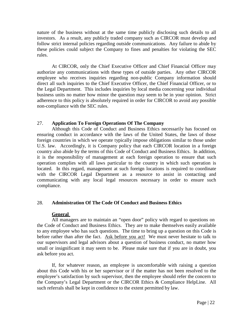<span id="page-21-0"></span>nature of the business without at the same time publicly disclosing such details to all investors. As a result, any publicly traded company such as CIRCOR must develop and follow strict internal policies regarding outside communications. Any failure to abide by these policies could subject the Company to fines and penalties for violating the SEC rules.

At CIRCOR, only the Chief Executive Officer and Chief Financial Officer may authorize any communications with these types of outside parties. Any other CIRCOR employee who receives inquiries regarding non-public Company information should direct all such inquiries to the Chief Executive Officer, the Chief Financial Officer, or to the Legal Department. This includes inquiries by local media concerning your individual business units no matter how minor the question may seem to be in your opinion. Strict adherence to this policy is absolutely required in order for CIRCOR to avoid any possible non-compliance with the SEC rules.

#### 27. **Application To Foreign Operations Of The Company**

Although this Code of Conduct and Business Ethics necessarily has focused on ensuring conduct in accordance with the laws of the United States, the laws of those foreign countries in which we operate typically impose obligations similar to those under U.S. law. Accordingly, it is Company policy that each CIRCOR location in a foreign country also abide by the terms of this Code of Conduct and Business Ethics. In addition, it is the responsibility of management at each foreign operation to ensure that such operation complies with all laws particular to the country in which such operation is located. In this regard, management at such foreign locations is required to coordinate with the CIRCOR Legal Department as a resource to assist in contacting and communicating with any local legal resources necessary in order to ensure such compliance.

#### 28. **Administration Of The Code Of Conduct and Business Ethics**

#### **General**

All managers are to maintain an "open door" policy with regard to questions on the Code of Conduct and Business Ethics. They are to make themselves easily available to any employee who has such questions. The time to bring up a question on this Code is before rather than after the fact. Ask before you act! We must never hesitate to talk to our supervisors and legal advisors about a question of business conduct, no matter how small or insignificant it may seem to be. Please make sure that if you are in doubt, you ask before you act.

If, for whatever reason, an employee is uncomfortable with raising a question about this Code with his or her supervisor or if the matter has not been resolved to the employee's satisfaction by such supervisor, then the employee should refer the concern to the Company's Legal Department or the CIRCOR Ethics & Compliance HelpLine. All such referrals shall be kept in confidence to the extent permitted by law.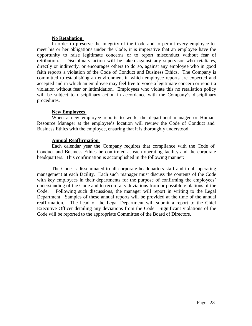#### **No Retaliation**

In order to preserve the integrity of the Code and to permit every employee to meet his or her obligations under the Code, it is imperative that an employee have the opportunity to raise legitimate concerns or to report misconduct without fear of retribution. Disciplinary action will be taken against any supervisor who retaliates, directly or indirectly, or encourages others to do so, against any employee who in good faith reports a violation of the Code of Conduct and Business Ethics. The Company is committed to establishing an environment in which employee reports are expected and accepted and in which an employee may feel free to voice a legitimate concern or report a violation without fear or intimidation. Employees who violate this no retaliation policy will be subject to disciplinary action in accordance with the Company's disciplinary procedures.

#### **New Employees**

When a new employee reports to work, the department manager or Human Resource Manager at the employee's location will review the Code of Conduct and Business Ethics with the employee, ensuring that it is thoroughly understood.

#### **Annual Reaffirmation**

Each calendar year the Company requires that compliance with the Code of Conduct and Business Ethics be confirmed at each operating facility and the corporate headquarters. This confirmation is accomplished in the following manner:

The Code is disseminated to all corporate headquarters staff and to all operating management at each facility. Each such manager must discuss the contents of the Code with key employees in their departments for the purpose of confirming the employees' understanding of the Code and to record any deviations from or possible violations of the Code. Following such discussions, the manager will report in writing to the Legal Department. Samples of these annual reports will be provided at the time of the annual reaffirmation. The head of the Legal Department will submit a report to the Chief Executive Officer detailing any deviations from the Code. Significant violations of the Code will be reported to the appropriate Committee of the Board of Directors.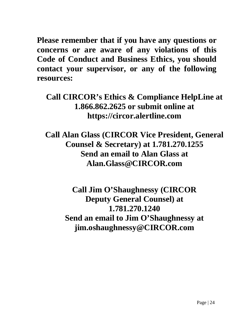<span id="page-23-0"></span>**Please remember that if you have any questions or concerns or are aware of any violations of this Code of Conduct and Business Ethics, you should contact your supervisor, or any of the following resources:**

**Call CIRCOR's Ethics & Compliance HelpLine at 1.866.862.2625 or submit online at https://circor.alertline.com**

**Call Alan Glass (CIRCOR Vice President, General Counsel & Secretary) at 1.781.270.1255 Send an email to Alan Glass at [Alan.Glass@CIRCOR.com](mailto:Alan.Glass@CIRCOR.com)**

> **Call Jim O'Shaughnessy (CIRCOR Deputy General Counsel) at 1.781.270.1240 Send an email to Jim O'Shaughnessy at [jim.oshaughnessy@CIRCOR.com](mailto:jim.oshaughnessy@CIRCOR.com)**